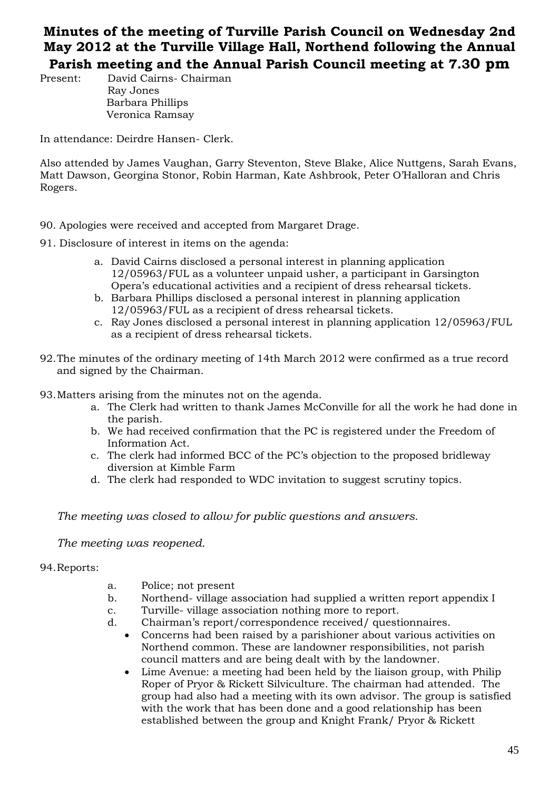## **Minutes of the meeting of Turville Parish Council on Wednesday 2nd May 2012 at the Turville Village Hall, Northend following the Annual**

**Parish meeting and the Annual Parish Council meeting at 7.30 pm**

Present: David Cairns- Chairman Ray Jones Barbara Phillips Veronica Ramsay

In attendance: Deirdre Hansen- Clerk.

Also attended by James Vaughan, Garry Steventon, Steve Blake, Alice Nuttgens, Sarah Evans, Matt Dawson, Georgina Stonor, Robin Harman, Kate Ashbrook, Peter O'Halloran and Chris Rogers.

- 90. Apologies were received and accepted from Margaret Drage.
- 91. Disclosure of interest in items on the agenda:
	- a. David Cairns disclosed a personal interest in planning application 12/05963/FUL as a volunteer unpaid usher, a participant in Garsington Opera's educational activities and a recipient of dress rehearsal tickets.
	- b. Barbara Phillips disclosed a personal interest in planning application 12/05963/FUL as a recipient of dress rehearsal tickets.
	- c. Ray Jones disclosed a personal interest in planning application 12/05963/FUL as a recipient of dress rehearsal tickets.
- 92.The minutes of the ordinary meeting of 14th March 2012 were confirmed as a true record and signed by the Chairman.
- 93.Matters arising from the minutes not on the agenda.
	- a. The Clerk had written to thank James McConville for all the work he had done in the parish.
	- b. We had received confirmation that the PC is registered under the Freedom of Information Act.
	- c. The clerk had informed BCC of the PC's objection to the proposed bridleway diversion at Kimble Farm
	- d. The clerk had responded to WDC invitation to suggest scrutiny topics.

*The meeting was closed to allow for public questions and answers.*

*The meeting was reopened.*

## 94.Reports:

- a. Police; not present
- b. Northend- village association had supplied a written report appendix I
- c. Turville- village association nothing more to report.
- d. Chairman's report/correspondence received/ questionnaires.
	- Concerns had been raised by a parishioner about various activities on Northend common. These are landowner responsibilities, not parish council matters and are being dealt with by the landowner.
	- Lime Avenue: a meeting had been held by the liaison group, with Philip Roper of Pryor & Rickett Silviculture. The chairman had attended. The group had also had a meeting with its own advisor. The group is satisfied with the work that has been done and a good relationship has been established between the group and Knight Frank/ Pryor & Rickett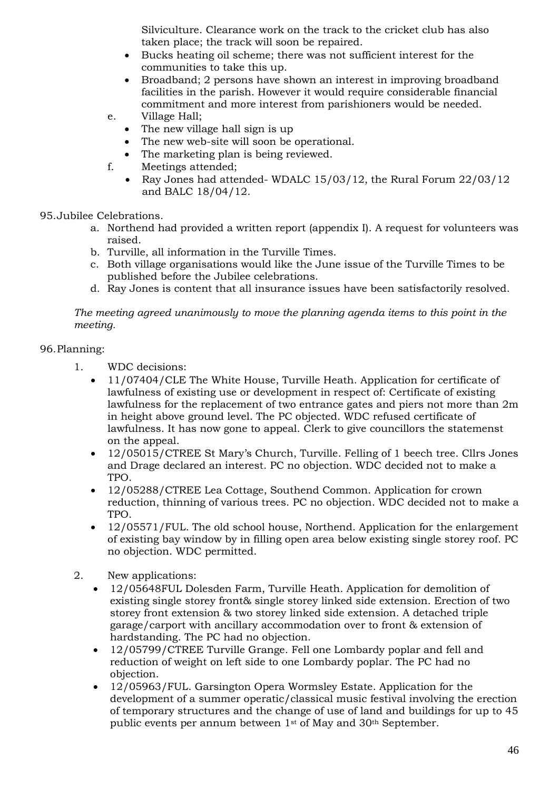Silviculture. Clearance work on the track to the cricket club has also taken place; the track will soon be repaired.

- Bucks heating oil scheme; there was not sufficient interest for the communities to take this up.
- Broadband; 2 persons have shown an interest in improving broadband facilities in the parish. However it would require considerable financial commitment and more interest from parishioners would be needed.
- e. Village Hall;
	- The new village hall sign is up
	- The new web-site will soon be operational.
	- The marketing plan is being reviewed.
- f. Meetings attended;
	- Ray Jones had attended- WDALC 15/03/12, the Rural Forum 22/03/12 and BALC 18/04/12.
- 95.Jubilee Celebrations.
	- a. Northend had provided a written report (appendix I). A request for volunteers was raised.
	- b. Turville, all information in the Turville Times.
	- c. Both village organisations would like the June issue of the Turville Times to be published before the Jubilee celebrations.
	- d. Ray Jones is content that all insurance issues have been satisfactorily resolved.

*The meeting agreed unanimously to move the planning agenda items to this point in the meeting.*

## 96.Planning:

- 1. WDC decisions:
	- 11/07404/CLE The White House, Turville Heath. Application for certificate of lawfulness of existing use or development in respect of: Certificate of existing lawfulness for the replacement of two entrance gates and piers not more than 2m in height above ground level. The PC objected. WDC refused certificate of lawfulness. It has now gone to appeal. Clerk to give councillors the statemenst on the appeal.
	- 12/05015/CTREE St Mary's Church, Turville. Felling of 1 beech tree. Cllrs Jones and Drage declared an interest. PC no objection. WDC decided not to make a TPO.
	- 12/05288/CTREE Lea Cottage, Southend Common. Application for crown reduction, thinning of various trees. PC no objection. WDC decided not to make a TPO.
	- 12/05571/FUL. The old school house, Northend. Application for the enlargement of existing bay window by in filling open area below existing single storey roof. PC no objection. WDC permitted.
- 2. New applications:
	- 12/05648FUL Dolesden Farm, Turville Heath. Application for demolition of existing single storey front& single storey linked side extension. Erection of two storey front extension & two storey linked side extension. A detached triple garage/carport with ancillary accommodation over to front & extension of hardstanding. The PC had no objection.
	- 12/05799/CTREE Turville Grange. Fell one Lombardy poplar and fell and reduction of weight on left side to one Lombardy poplar. The PC had no objection.
	- 12/05963/FUL. Garsington Opera Wormsley Estate. Application for the development of a summer operatic/classical music festival involving the erection of temporary structures and the change of use of land and buildings for up to 45 public events per annum between 1st of May and 30th September.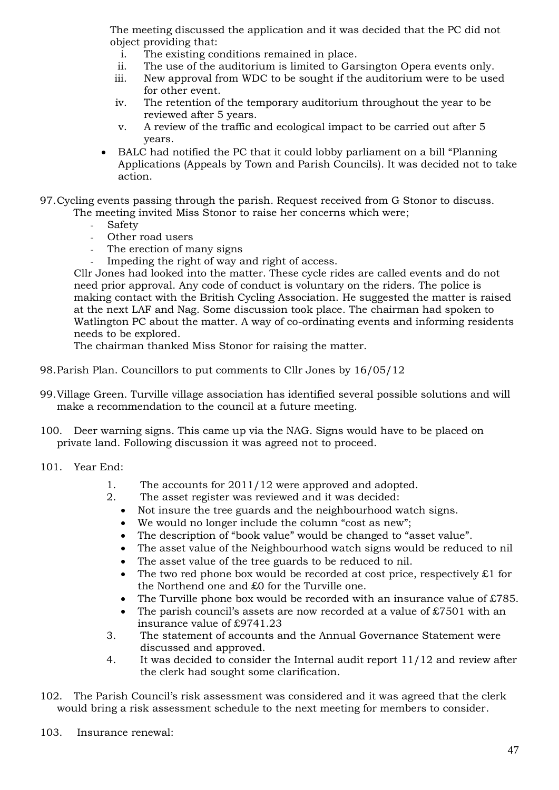The meeting discussed the application and it was decided that the PC did not object providing that:

- i. The existing conditions remained in place.
- ii. The use of the auditorium is limited to Garsington Opera events only.
- iii. New approval from WDC to be sought if the auditorium were to be used for other event.
- iv. The retention of the temporary auditorium throughout the year to be reviewed after 5 years.
- v. A review of the traffic and ecological impact to be carried out after 5 years.
- BALC had notified the PC that it could lobby parliament on a bill "Planning Applications (Appeals by Town and Parish Councils). It was decided not to take action.
- 97.Cycling events passing through the parish. Request received from G Stonor to discuss. The meeting invited Miss Stonor to raise her concerns which were;
	- **Safety**
	- Other road users
	- The erection of many signs
	- Impeding the right of way and right of access.

Cllr Jones had looked into the matter. These cycle rides are called events and do not need prior approval. Any code of conduct is voluntary on the riders. The police is making contact with the British Cycling Association. He suggested the matter is raised at the next LAF and Nag. Some discussion took place. The chairman had spoken to Watlington PC about the matter. A way of co-ordinating events and informing residents needs to be explored.

The chairman thanked Miss Stonor for raising the matter.

- 98.Parish Plan. Councillors to put comments to Cllr Jones by 16/05/12
- 99.Village Green. Turville village association has identified several possible solutions and will make a recommendation to the council at a future meeting.
- 100. Deer warning signs. This came up via the NAG. Signs would have to be placed on private land. Following discussion it was agreed not to proceed.
- 101. Year End:
	- 1. The accounts for 2011/12 were approved and adopted.
	- 2. The asset register was reviewed and it was decided:
		- Not insure the tree guards and the neighbourhood watch signs.
		- We would no longer include the column "cost as new";
		- The description of "book value" would be changed to "asset value".
		- The asset value of the Neighbourhood watch signs would be reduced to nil
		- The asset value of the tree guards to be reduced to nil.
		- The two red phone box would be recorded at cost price, respectively  $\pounds 1$  for the Northend one and £0 for the Turville one.
		- The Turville phone box would be recorded with an insurance value of  $£785$ .
		- The parish council's assets are now recorded at a value of  $\text{\pounds}7501$  with an insurance value of £9741.23
	- 3. The statement of accounts and the Annual Governance Statement were discussed and approved.
	- 4. It was decided to consider the Internal audit report 11/12 and review after the clerk had sought some clarification.
- 102. The Parish Council's risk assessment was considered and it was agreed that the clerk would bring a risk assessment schedule to the next meeting for members to consider.